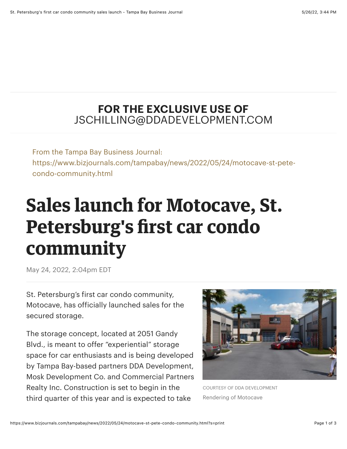## **FOR THE EXCLUSIVE USE OF** JSCHILLING@DDADEVELOPMENT.COM

From the Tampa Bay Business Journal: https://www.bizjournals.com/tampabay/news/2022/05/24/motocave-st-petecondo-community.html

## **Sales launch for Motocave, St. Petersburg's first car condo community**

May 24, 2022, 2:04pm EDT

St. Petersburg's first car condo community, Motocave, has officially launched sales for the secured storage.

The storage concept, located at 2051 Gandy Blvd., is meant to offer "experiential" storage space for car enthusiasts and is being developed by Tampa Bay-based partners DDA Development, Mosk Development Co. and Commercial Partners Realty Inc. Construction is set to begin in the third quarter of this year and is expected to take



COURTESY OF DDA DEVELOPMENT Rendering of Motocave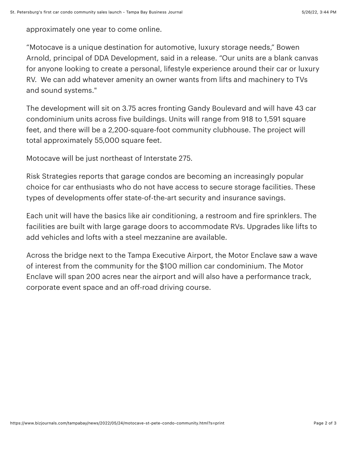approximately one year to come online.

"Motocave is a unique destination for automotive, luxury storage needs," Bowen [Arnold, principal of DDA Development, said in a release. "Our units are a blank ca](https://www.bizjournals.com/tampabay/search/results?q=Bowen%20Arnold)nvas for anyone looking to create a personal, lifestyle experience around their car or luxury RV. We can add whatever amenity an owner wants from lifts and machinery to TVs and sound systems."

The development will sit on 3.75 acres fronting Gandy Boulevard and will have 43 car condominium units across five buildings. Units will range from 918 to 1,591 square feet, and there will be a 2,200-square-foot community clubhouse. The project will total approximately 55,000 square feet.

Motocave will be just northeast of Interstate 275.

Risk Strategies reports that garage condos are becoming an increasingly popular choice for car enthusiasts who do not have access to secure storage facilities. These types of developments offer state-of-the-art security and insurance savings.

Each unit will have the basics like air conditioning, a restroom and fire sprinklers. The facilities are built with large garage doors to accommodate RVs. Upgrades like lifts to add vehicles and lofts with a steel mezzanine are available.

[Across the bridge next to the Tampa Executive Airport, the Motor Enclave saw a wave](https://www.bizjournals.com/tampabay/news/2022/03/22/motor-enclave-construction-underway.html) of interest from the community for the \$100 million car condominium. The Motor Enclave will span 200 acres near the airport and will also have a performance track, corporate event space and an off-road driving course.